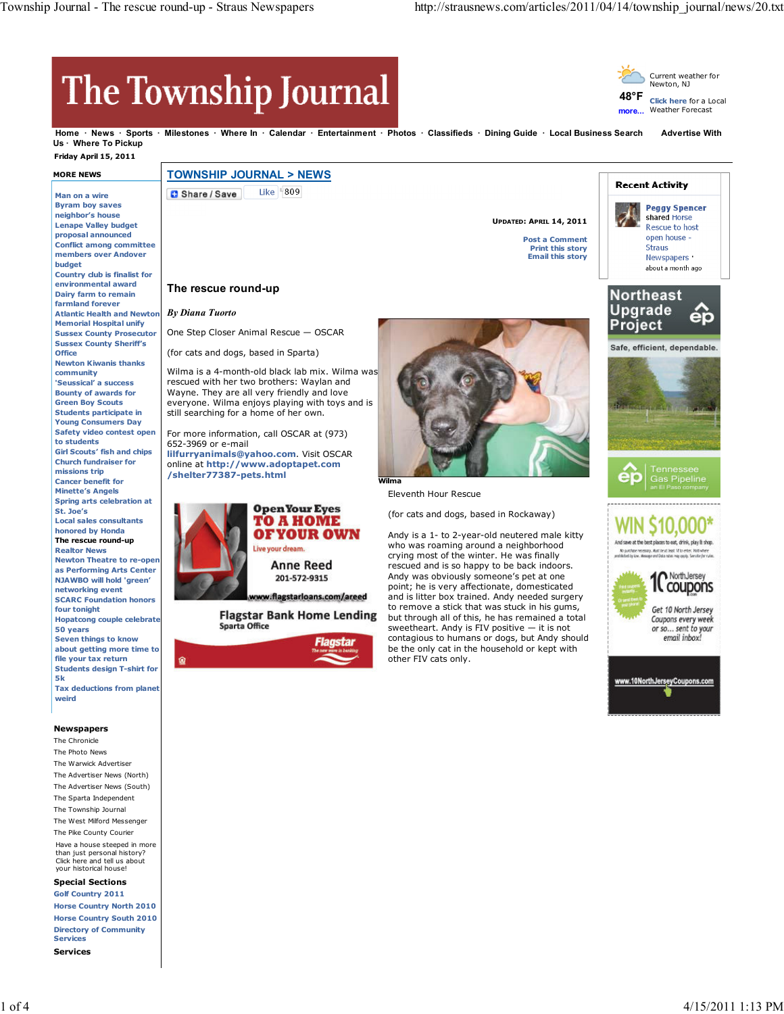## The Township Journal



**more... Click here** for a Local Weather Forecast

> **Peggy Spencer** shared Horse

**Home News Sports Milestones Where In Calendar Entertainment Photos Classifieds Dining Guide Local Business Search Advertise With** Us **Where To Pickup** 

## **Friday April 15, 2011**

## **MORE NEWS**

**Man on a wire Byram boy saves neighbor's house Lenape Valley budget proposal announced Conflict among committee members over Andover budget Country club is finalist for environmental award Dairy farm to remain farmland forever Atlantic Health and Newton** *By Diana Tuorto* **Memorial Hospital unify Sussex County Prosecutor Sussex County Sheriff's Office Newton Kiwanis thanks community 'Seussical' a success Bounty of awards for Green Boy Scouts Students participate in Young Consumers Day Safety video contest open to students Girl Scouts' fish and chips Church fundraiser for missions trip Cancer benefit for Minette's Angels Spring arts celebration at St. Joe's Local sales consultants honored by Honda The rescue round-up Realtor News Newton Theatre to re-open as Performing Arts Center NJAWBO will hold 'green' networking event SCARC Foundation honors four tonight Hopatcong couple celebrate 50 years Seven things to know about getting more time to file your tax return Students design T-shirt for 5k Tax deductions from planet**

**weird**

**Newspapers**

The Chronicle The Photo News The Warwick Advertiser The Advertiser News (North) The Advertiser News (South) The Sparta Independent The Township Journal The West Milford Messenger The Pike County Courier Have a house steeped in more than just personal history? Click here and tell us about your historical house!

**Special Sections**

**Golf Country 2011 Horse Country North 2010 Horse Country South 2010 Directory of Community Services Services**

**TOWNSHIP JOURNAL > NEWS**

Like | 809 Share / Save

**The rescue round-up**

One Step Closer Animal Rescue — OSCAR (for cats and dogs, based in Sparta)

still searching for a home of her own. For more information, call OSCAR at (973)

**lilfurryanimals@yahoo.com**. Visit OSCAR online at **http://www.adoptapet.com**

Wilma is a 4-month-old black lab mix. Wilma was rescued with her two brothers: Waylan and Wayne. They are all very friendly and love everyone. Wilma enjoys playing with toys and is

**UPDATED: APRIL 14, 2011**

**Post a Comment Print this story Email this story**



**Recent Activity** 





én

And save at the best places to eat, drink, play B shop.



652-3969 or e-mail

**/shelter77387-pets.html**

**TO A HOME** OF YOUR OWN Live your dream. Anne Reed 201-572-9315

**Open Your Eyes** 

w.flagstarloans.com/areed

**Flagstar Bank Home Lending Sparta Office** 





Eleventh Hour Rescue

(for cats and dogs, based in Rockaway)

Andy is a 1- to 2-year-old neutered male kitty who was roaming around a neighborhood crying most of the winter. He was finally rescued and is so happy to be back indoors. Andy was obviously someone's pet at one point; he is very affectionate, domesticated and is litter box trained. Andy needed surgery to remove a stick that was stuck in his gums, but through all of this, he has remained a total sweetheart. Andy is FIV positive — it is not contagious to humans or dogs, but Andy should be the only cat in the household or kept with other FIV cats only.

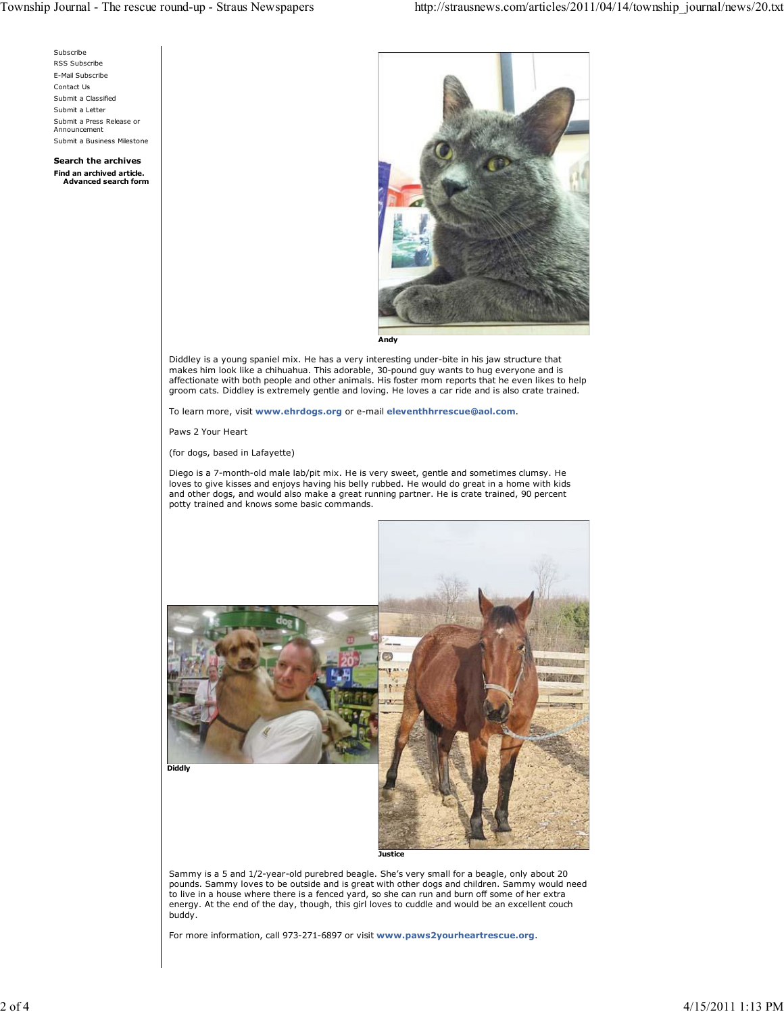

pounds. Sammy loves to be outside and is great with other dogs and children. Sammy would need to live in a house where there is a fenced yard, so she can run and burn off some of her extra energy. At the end of the day, though, this girl loves to cuddle and would be an excellent couch buddy.

For more information, call 973-271-6897 or visit **www.paws2yourheartrescue.org**.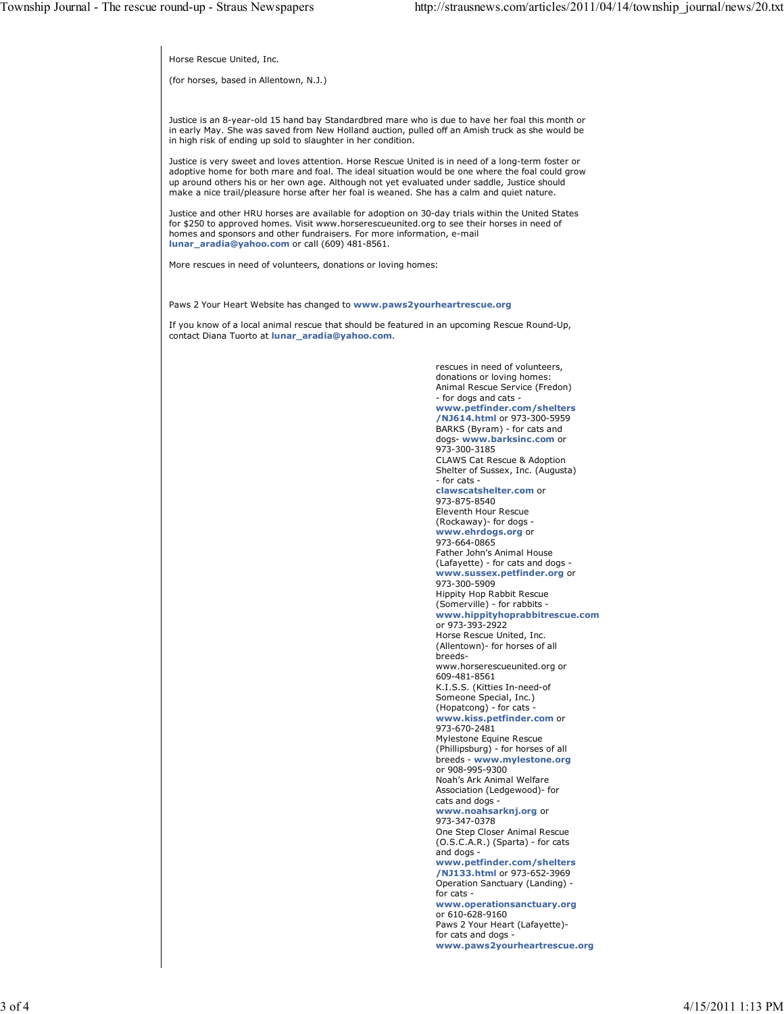Horse Rescue United, Inc.

(for horses, based in Allentown, N.J.)

Justice is an 8-year-old 15 hand bay Standardbred mare who is due to have her foal this month or in early May. She was saved from New Holland auction, pulled off an Amish truck as she would be in high risk of ending up sold to slaughter in her condition.

Justice is very sweet and loves attention. Horse Rescue United is in need of a long-term foster or adoptive home for both mare and foal. The ideal situation would be one where the foal could grow up around others his or her own age. Although not yet evaluated under saddle, Justice should make a nice trail/pleasure horse after her foal is weaned. She has a calm and quiet nature.

Justice and other HRU horses are available for adoption on 30-day trials within the United States for \$250 to approved homes. Visit www.horserescueunited.org to see their horses in need of homes and sponsors and other fundraisers. For more information, e-mail **lunar\_aradia@yahoo.com** or call (609) 481-8561.

More rescues in need of volunteers, donations or loving homes:

Paws 2 Your Heart Website has changed to **www.paws2yourheartrescue.org**

If you know of a local animal rescue that should be featured in an upcoming Rescue Round-Up, contact Diana Tuorto at **lunar\_aradia@yahoo.com**.

> rescues in need of volunteers, donations or loving homes: Animal Rescue Service (Fredon) - for dogs and cats **www.petfinder.com/shelters /NJ614.html** or 973-300-5959 BARKS (Byram) - for cats and dogs- **www.barksinc.com** or 973-300-3185 CLAWS Cat Rescue & Adoption Shelter of Sussex, Inc. (Augusta) - for cats **clawscatshelter.com** or 973-875-8540 Eleventh Hour Rescue (Rockaway)- for dogs **www.ehrdogs.org** or 973-664-0865 Father John's Animal House (Lafayette) - for cats and dogs **www.sussex.petfinder.org** or 973-300-5909 Hippity Hop Rabbit Rescue (Somerville) - for rabbits **www.hippityhoprabbitrescue.com** or 973-393-2922 Horse Rescue United, Inc. (Allentown)- for horses of all breedswww.horserescueunited.org or 609-481-8561 K.I.S.S. (Kitties In-need-of Someone Special, Inc.) (Hopatcong) - for cats **www.kiss.petfinder.com** or 973-670-2481 Mylestone Equine Rescue (Phillipsburg) - for horses of all breeds - **www.mylestone.org** or 908-995-9300 Noah's Ark Animal Welfare Association (Ledgewood)- for cats and dogs **www.noahsarknj.org** or 973-347-0378 One Step Closer Animal Rescue (O.S.C.A.R.) (Sparta) - for cats and dogs **www.petfinder.com/shelters /NJ133.html** or 973-652-3969 Operation Sanctuary (Landing) for cats **www.operationsanctuary.org** or 610-628-9160 Paws 2 Your Heart (Lafayette) for cats and dogs **www.paws2yourheartrescue.org**